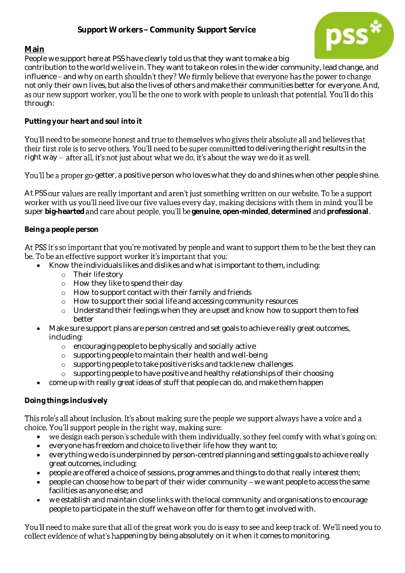# **Support Workers - Community Support Service**



## **Main**

People we support here at PSS have clearly told us that they want to make a big

contribution to the world we live in. They want to take on roles in the wider community, lead change, and influence - and why on earth shouldn't they? We firmly believe that everyone has the power to change not only their own lives, but also the lives of others and make their communities better for everyone. And, as our new support worker, you'll be the one to work with people to unleash that potential. You'll do this through:

**Putting your heart and soul into it**

You'll need to be someone honest and true to themselves who gives their absolute all and believes that their first role is to serve others. You'll need to be super committed to delivering the right results in the right way - after all, it's not just about what we do, it's about the way we do it as well.

You'll be a proper go-getter, a positive person who loves what they do and shines when other people shine.

At PSS our values are really important and aren't just something written on our website. To be a support worker with us you'll need live our five values every day, making decisions with them in mind; you'll be super big-hearted and care about people, you'll be genuine, open-minded, determined and professional.

#### **Being a people person**

#### At PSS it's so important that you're motivated by people and want to support them to be the best they can be. To be an effective support worker it's important that you:

- Know the individuals likes and dislikes and what is important to them, including:
	- o Their life story
	- o How they like to spend their day
	- o How to support contact with their family and friends
	- o How to support their social life and accessing community resources
	- o Understand their feelings when they are upset and know how to support them to feel better
- Make sure support plans are person centred and set goals to achieve really great outcomes, including:
	- o encouraging people to be physically and socially active
	- o supporting people to maintain their health and well-being
	- o supporting people to take positive risks and tackle new challenges
	- o supporting people to have positive and healthy relationships of their choosing
- come up with really great ideas of stuff that people can do, and make them happen

## **Doing things inclusively**

#### This role's all about inclusion. It's about making sure the people we support always have a voice and a choice. You'll support people in the right way, making sure:

- we design each person's schedule with them individually, so they feel comfy with what's going on;  $\bullet$
- everyone has freedom and choice to live their life how they want to;
- everything we do is underpinned by person-centred planning and setting goals to achieve really great outcomes, including;
- people are offered a choice of sessions, programmes and things to do that really interest them;
- $\bullet$  people can choose how to be part of their wider community we want people to access the same facilities as anyone else; and
- we establish and maintain close links with the local community and organisations to encourage people to participate in the stuff we have on offer for them to get involved with.

You'll need to make sure that all of the great work you do is easy to see and keep track of. We'll need you to collect evidence of what's happening by being absolutely on it when it comes to monitoring.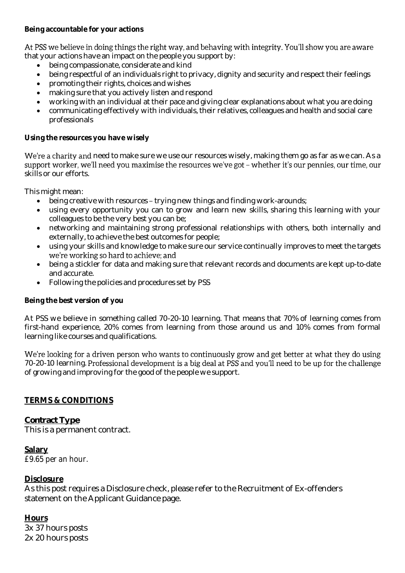At PSS we believe in doing things the right way, and behaving with integrity. You'll show you are aware

that your actions have an impact on the people you support by:

- being compassionate, considerate and kind
- being respectful of an individuals right to privacy, dignity and security and respect their feelings
- promoting their rights, choices and wishes
- making sure that you actively listen and respond
- working with an individual at their pace and giving clear explanations about what you are doing
- communicating effectively with individuals, their relatives, colleagues and health and social care professionals

**Using the resources you have wisely**

We're a charity and need to make sure we use our resources wisely, making them go as far as we can. As a support worker, we'll need you maximise the resources we've got - whether it's our pennies, our time, our skills or our efforts.

This might mean:

- $\bullet$  being creative with resources trying new things and finding work-arounds;
- using every opportunity you can to grow and learn new skills, sharing this learning with your colleagues to be the very best you can be;
- networking and maintaining strong professional relationships with others, both internally and externally, to achieve the best outcomes for people;
- using your skills and knowledge to make sure our service continually improves to meet the targets we're working so hard to achieve; and
- being a stickler for data and making sure that relevant records and documents are kept up-to-date and accurate.
- Following the policies and procedures set by PSS

## **Being the best version of you**

At PSS we believe in something called 70-20-10 learning. That means that 70% of learning comes from first-hand experience, 20% comes from learning from those around us and 10% comes from formal learning like courses and qualifications.

We're looking for a driven person who wants to continuously grow and get better at what they do using 70-20-10 learning. Professional development is a big deal at PSS and you'll need to be up for the challenge of growing and improving for the good of the people we support.

## **TERMS & CONDITIONS**

*Contract Type* This is a permanent contract.

## **Salary**

*£9.65 per an hour.* 

## **Disclosure**

As this post requires a Disclosure check, please refer to the Recruitment of Ex-offenders statement on the Applicant Guidance page.

**Hours** 3x 37 hours posts 2x 20 hours posts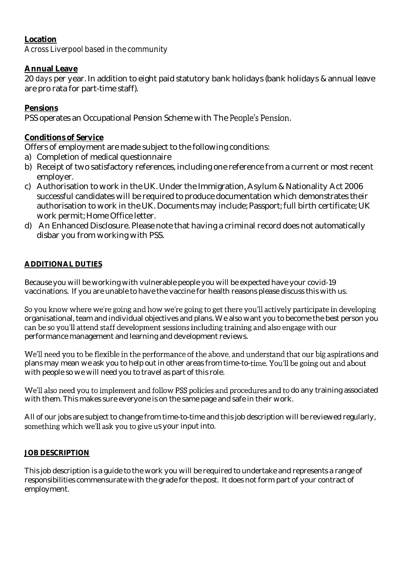# **Location**

*Across Liverpool based in the community*

# **Annual Leave**

20 *days* per year. In addition to eight paid statutory bank holidays (bank holidays & annual leave are pro rata for part-time staff).

# **Pensions**

PSS operates an Occupational Pension Scheme with The People's Pension.

## **Conditions of Service**

Offers of employment are made subject to the following conditions:

- a) Completion of medical questionnaire
- b) Receipt of two satisfactory references, including one reference from a current or most recent employer.
- c) Authorisation to work in the UK. Under the Immigration, Asylum & Nationality Act 2006 successful candidates will be required to produce documentation which demonstrates their authorisation to work in the UK. Documents may include; Passport; full birth certificate; UK work permit; Home Office letter.
- d) An Enhanced Disclosure. Please note that having a criminal record does not automatically disbar you from working with PSS.

## **ADDITIONAL DUTIES**

Because you will be working with vulnerable people you will be expected have your covid-19 vaccinations. If you are unable to have the vaccine for health reasons please discuss this with us.

So you know where we're going and how we're going to get there you'll actively participate in developing organisational, team and individual objectives and plans. We also want you to become the best person you can be so you'll attend staff development sessions including training and also engage with our performance management and learning and development reviews.

We'll need you to be flexible in the performance of the above, and understand that our big aspirations and plans may mean we ask you to help out in other areas from time-to-time. You'll be going out and about with people so we will need you to travel as part of this role.

We'll also need you to implement and follow PSS policies and procedures and to do any training associated with them. This makes sure everyone is on the same page and safe in their work.

All of our jobs are subject to change from time-to-time and this job description will be reviewed regularly, something which we'll ask you to give us your input into.

## **JOB DESCRIPTION**

This job description is a guide to the work you will be required to undertake and represents a range of responsibilities commensurate with the grade for the post. It does not form part of your contract of employment.